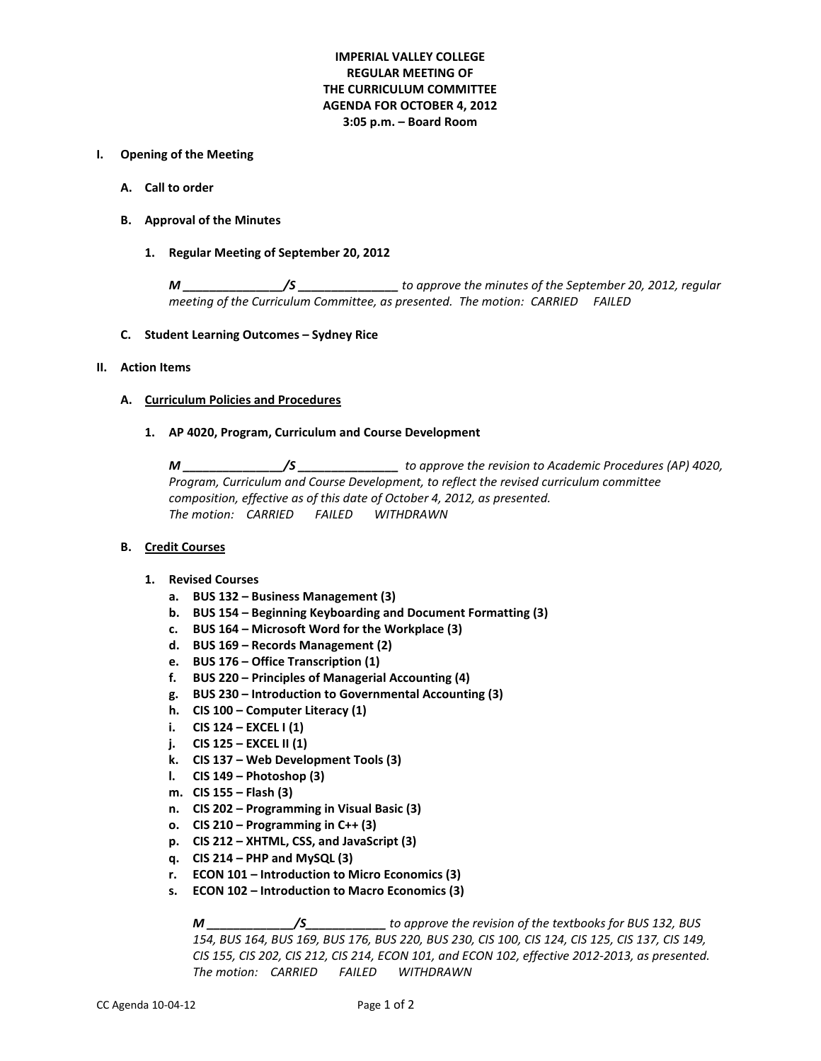# **IMPERIAL VALLEY COLLEGE REGULAR MEETING OF THE CURRICULUM COMMITTEE AGENDA FOR OCTOBER 4, 2012 3:05 p.m. – Board Room**

## **I. Opening of the Meeting**

- **A. Call to order**
- **B. Approval of the Minutes**
	- **1. Regular Meeting of September 20, 2012**

*M \_\_\_\_\_\_\_\_\_\_\_\_\_\_\_/S \_\_\_\_\_\_\_\_\_\_\_\_\_\_\_ to approve the minutes of the September 20, 2012, regular meeting of the Curriculum Committee, as presented. The motion: CARRIED FAILED* 

**C. Student Learning Outcomes – Sydney Rice**

## **II. Action Items**

#### **A. Curriculum Policies and Procedures**

## **1. AP 4020, Program, Curriculum and Course Development**

*M \_\_\_\_\_\_\_\_\_\_\_\_\_\_\_/S \_\_\_\_\_\_\_\_\_\_\_\_\_\_\_ to approve the revision to Academic Procedures (AP) 4020, Program, Curriculum and Course Development, to reflect the revised curriculum committee composition, effective as of this date of October 4, 2012, as presented. The motion: CARRIED FAILED WITHDRAWN*

#### **B. Credit Courses**

# **1. Revised Courses**

- **a. BUS 132 – Business Management (3)**
- **b. BUS 154 – Beginning Keyboarding and Document Formatting (3)**
- **c. BUS 164 – Microsoft Word for the Workplace (3)**
- **d. BUS 169 – Records Management (2)**
- **e. BUS 176 – Office Transcription (1)**
- **f. BUS 220 – Principles of Managerial Accounting (4)**
- **g. BUS 230 – Introduction to Governmental Accounting (3)**
- **h. CIS 100 – Computer Literacy (1)**
- **i. CIS 124 – EXCEL I (1)**
- **j. CIS 125 – EXCEL II (1)**
- **k. CIS 137 – Web Development Tools (3)**
- **l. CIS 149 – Photoshop (3)**
- **m. CIS 155 – Flash (3)**
- **n. CIS 202 – Programming in Visual Basic (3)**
- **o. CIS 210 – Programming in C++ (3)**
- **p. CIS 212 – XHTML, CSS, and JavaScript (3)**
- **q. CIS 214 – PHP and MySQL (3)**
- **r. ECON 101 – Introduction to Micro Economics (3)**
- **s. ECON 102 – Introduction to Macro Economics (3)**

*M \_\_\_\_\_\_\_\_\_\_\_\_\_/S\_\_\_\_\_\_\_\_\_\_\_\_ to approve the revision of the textbooks for BUS 132, BUS 154, BUS 164, BUS 169, BUS 176, BUS 220, BUS 230, CIS 100, CIS 124, CIS 125, CIS 137, CIS 149, CIS 155, CIS 202, CIS 212, CIS 214, ECON 101, and ECON 102, effective 2012-2013, as presented. The motion: CARRIED FAILED WITHDRAWN*